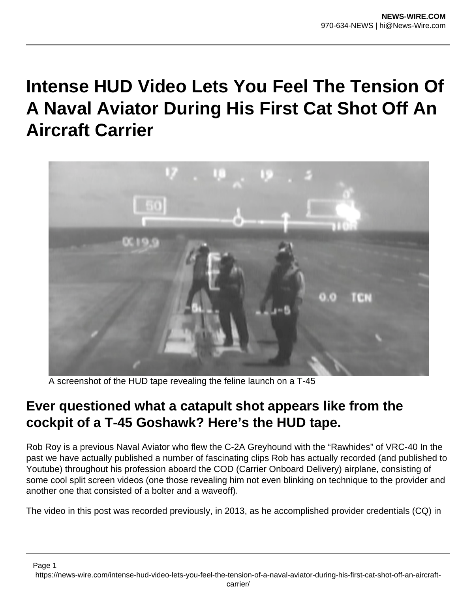## **Intense HUD Video Lets You Feel The Tension Of A Naval Aviator During His First Cat Shot Off An Aircraft Carrier**



A screenshot of the HUD tape revealing the feline launch on a T-45

## **Ever questioned what a catapult shot appears like from the cockpit of a T-45 Goshawk? Here's the HUD tape.**

Rob Roy is a previous Naval Aviator who flew the C-2A Greyhound with the "Rawhides" of VRC-40 In the past we have actually published a number of fascinating clips Rob has actually recorded (and published to Youtube) throughout his profession aboard the COD (Carrier Onboard Delivery) airplane, consisting of some cool split screen videos (one those revealing him not even blinking on technique to the provider and another one that consisted of a bolter and a waveoff).

The video in this post was recorded previously, in 2013, as he accomplished provider credentials (CQ) in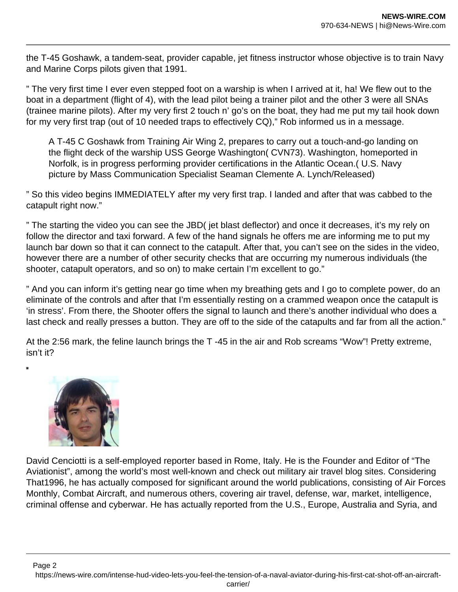the T-45 Goshawk, a tandem-seat, provider capable, jet fitness instructor whose objective is to train Navy and Marine Corps pilots given that 1991.

" The very first time I ever even stepped foot on a warship is when I arrived at it, ha! We flew out to the boat in a department (flight of 4), with the lead pilot being a trainer pilot and the other 3 were all SNAs (trainee marine pilots). After my very first 2 touch n' go's on the boat, they had me put my tail hook down for my very first trap (out of 10 needed traps to effectively CQ)," Rob informed us in a message.

A T-45 C Goshawk from Training Air Wing 2, prepares to carry out a touch-and-go landing on the flight deck of the warship USS George Washington( CVN73). Washington, homeported in Norfolk, is in progress performing provider certifications in the Atlantic Ocean.( U.S. Navy picture by Mass Communication Specialist Seaman Clemente A. Lynch/Released)

" So this video begins IMMEDIATELY after my very first trap. I landed and after that was cabbed to the catapult right now."

" The starting the video you can see the JBD( jet blast deflector) and once it decreases, it's my rely on follow the director and taxi forward. A few of the hand signals he offers me are informing me to put my launch bar down so that it can connect to the catapult. After that, you can't see on the sides in the video, however there are a number of other security checks that are occurring my numerous individuals (the shooter, catapult operators, and so on) to make certain I'm excellent to go."

" And you can inform it's getting near go time when my breathing gets and I go to complete power, do an eliminate of the controls and after that I'm essentially resting on a crammed weapon once the catapult is 'in stress'. From there, the Shooter offers the signal to launch and there's another individual who does a last check and really presses a button. They are off to the side of the catapults and far from all the action."

At the 2:56 mark, the feline launch brings the T -45 in the air and Rob screams "Wow"! Pretty extreme, isn't it?



 $\blacksquare$ 

David Cenciotti is a self-employed reporter based in Rome, Italy. He is the Founder and Editor of "The Aviationist", among the world's most well-known and check out military air travel blog sites. Considering That1996, he has actually composed for significant around the world publications, consisting of Air Forces Monthly, Combat Aircraft, and numerous others, covering air travel, defense, war, market, intelligence, criminal offense and cyberwar. He has actually reported from the U.S., Europe, Australia and Syria, and